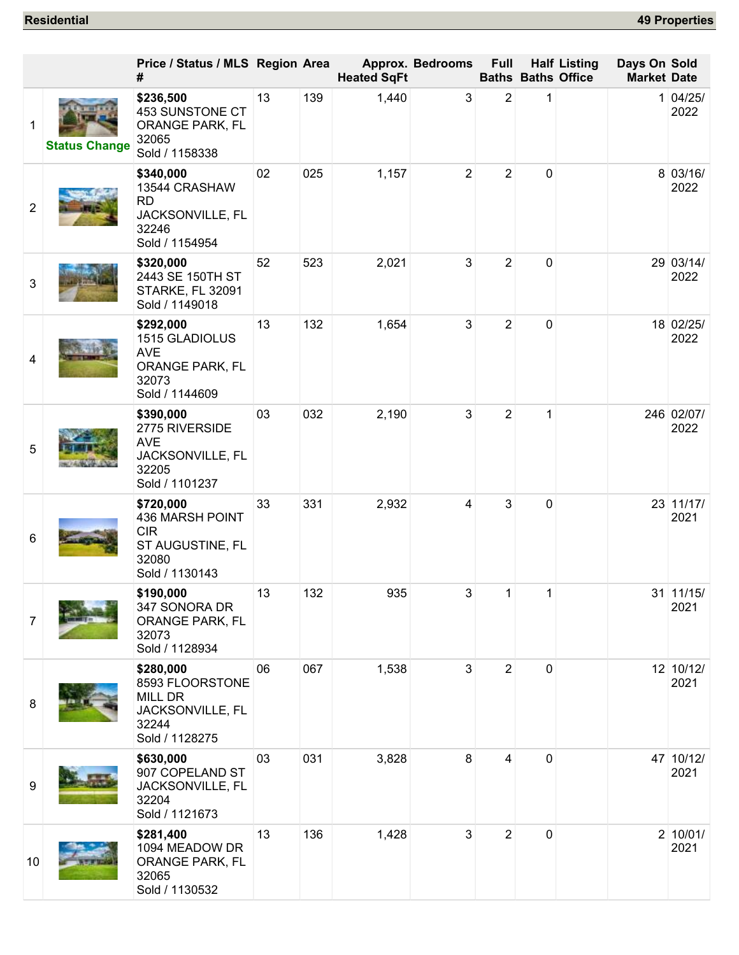|                 |                      | Price / Status / MLS Region Area<br>#                                                     |    |     | <b>Heated SqFt</b> | <b>Approx. Bedrooms</b> | <b>Full</b>    |   | <b>Half Listing</b><br><b>Baths Baths Office</b> | Days On Sold<br><b>Market Date</b> |                     |
|-----------------|----------------------|-------------------------------------------------------------------------------------------|----|-----|--------------------|-------------------------|----------------|---|--------------------------------------------------|------------------------------------|---------------------|
| 1               | <b>Status Change</b> | \$236,500<br>453 SUNSTONE CT<br>ORANGE PARK, FL<br>32065<br>Sold / 1158338                | 13 | 139 | 1,440              | 3                       | $\overline{2}$ | 1 |                                                  |                                    | 1 04/25/<br>2022    |
| $\overline{2}$  |                      | \$340,000<br>13544 CRASHAW<br><b>RD</b><br>JACKSONVILLE, FL<br>32246<br>Sold / 1154954    | 02 | 025 | 1,157              | $\overline{2}$          | $\overline{2}$ | 0 |                                                  |                                    | 8 03/16/<br>2022    |
| 3               |                      | \$320,000<br>2443 SE 150TH ST<br>STARKE, FL 32091<br>Sold / 1149018                       | 52 | 523 | 2,021              | 3                       | $\overline{2}$ | 0 |                                                  |                                    | 29 03/14/<br>2022   |
| 4               |                      | \$292,000<br>1515 GLADIOLUS<br><b>AVE</b><br>ORANGE PARK, FL<br>32073<br>Sold / 1144609   | 13 | 132 | 1,654              | 3                       | $\overline{2}$ | 0 |                                                  |                                    | 18 02/25/<br>2022   |
| 5               |                      | \$390,000<br>2775 RIVERSIDE<br><b>AVE</b><br>JACKSONVILLE, FL<br>32205<br>Sold / 1101237  | 03 | 032 | 2,190              | 3                       | $\overline{2}$ | 1 |                                                  |                                    | 246 02/07/<br>2022  |
| $6\phantom{1}6$ |                      | \$720,000<br>436 MARSH POINT<br><b>CIR</b><br>ST AUGUSTINE, FL<br>32080<br>Sold / 1130143 | 33 | 331 | 2,932              | 4                       | 3              | 0 |                                                  |                                    | 23 11/17/<br>2021   |
| $\overline{7}$  |                      | \$190,000<br>347 SONORA DR<br>ORANGE PARK, FL<br>32073<br>Sold / 1128934                  | 13 | 132 | 935                | 3                       | 1              | 1 |                                                  |                                    | 31   11/15/<br>2021 |
| 8               |                      | \$280,000<br>8593 FLOORSTONE<br>MILL DR<br>JACKSONVILLE, FL<br>32244<br>Sold / 1128275    | 06 | 067 | 1,538              | 3                       | $\overline{2}$ | 0 |                                                  |                                    | 12 10/12/<br>2021   |
| 9               |                      | \$630,000<br>907 COPELAND ST<br>JACKSONVILLE, FL<br>32204<br>Sold / 1121673               | 03 | 031 | 3,828              | 8                       | 4              | 0 |                                                  |                                    | 47 10/12/<br>2021   |
| 10              |                      | \$281,400<br>1094 MEADOW DR<br>ORANGE PARK, FL<br>32065<br>Sold / 1130532                 | 13 | 136 | 1,428              | 3                       | $\overline{2}$ | 0 |                                                  |                                    | 2 10/01/<br>2021    |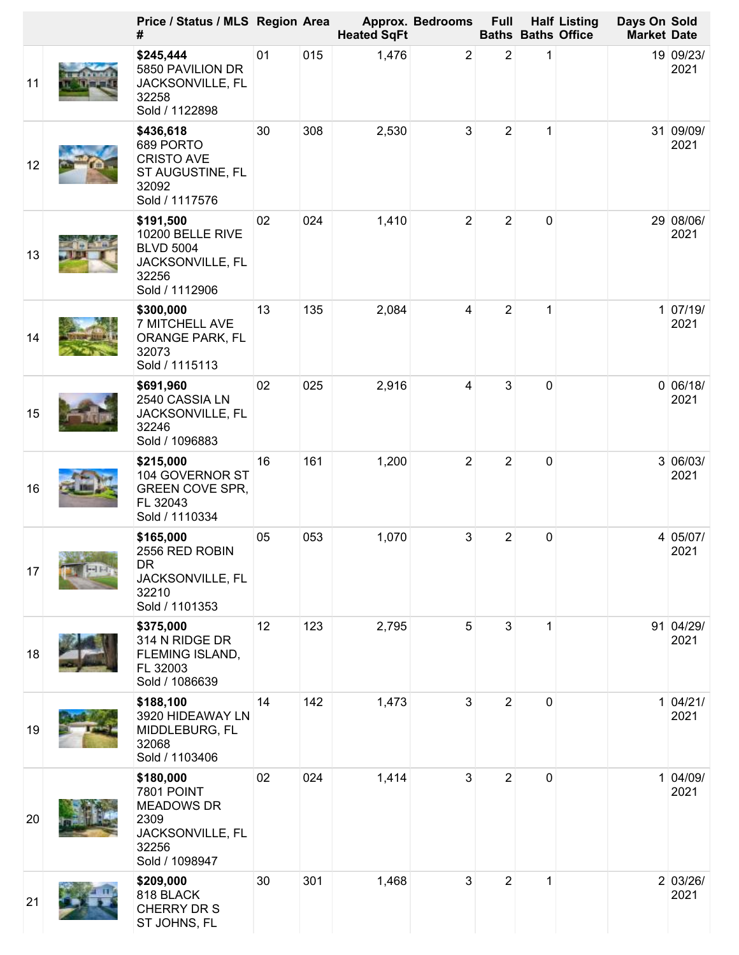|    | Price / Status / MLS Region Area<br>#                                                                      |    |     | <b>Heated SqFt</b> | Approx. Bedrooms | <b>Full</b>    |             | <b>Half Listing</b><br><b>Baths Baths Office</b> | Days On Sold<br><b>Market Date</b> |                   |
|----|------------------------------------------------------------------------------------------------------------|----|-----|--------------------|------------------|----------------|-------------|--------------------------------------------------|------------------------------------|-------------------|
| 11 | \$245,444<br>5850 PAVILION DR<br>JACKSONVILLE, FL<br>32258<br>Sold / 1122898                               | 01 | 015 | 1,476              | $\overline{2}$   | $\overline{2}$ | 1           |                                                  |                                    | 19 09/23/<br>2021 |
| 12 | \$436,618<br>689 PORTO<br><b>CRISTO AVE</b><br>ST AUGUSTINE, FL<br>32092<br>Sold / 1117576                 | 30 | 308 | 2,530              | 3                | $\overline{2}$ | 1           |                                                  |                                    | 31 09/09/<br>2021 |
| 13 | \$191,500<br>10200 BELLE RIVE<br><b>BLVD 5004</b><br>JACKSONVILLE, FL<br>32256<br>Sold / 1112906           | 02 | 024 | 1,410              | $\overline{2}$   | $\overline{2}$ | $\mathbf 0$ |                                                  |                                    | 29 08/06/<br>2021 |
| 14 | \$300,000<br>7 MITCHELL AVE<br>ORANGE PARK, FL<br>32073<br>Sold / 1115113                                  | 13 | 135 | 2,084              | 4                | $\overline{2}$ | 1           |                                                  |                                    | 1 07/19/<br>2021  |
| 15 | \$691,960<br>2540 CASSIA LN<br>JACKSONVILLE, FL<br>32246<br>Sold / 1096883                                 | 02 | 025 | 2,916              | 4                | 3              | 0           |                                                  |                                    | 0 06/18/<br>2021  |
| 16 | \$215,000<br>104 GOVERNOR ST<br><b>GREEN COVE SPR,</b><br>FL 32043<br>Sold / 1110334                       | 16 | 161 | 1,200              | $\overline{2}$   | $\overline{2}$ | 0           |                                                  |                                    | 3 06/03/<br>2021  |
| 17 | \$165,000<br>2556 RED ROBIN<br><b>DR</b><br>JACKSONVILLE, FL<br>32210<br>Sold / 1101353                    | 05 | 053 | 1,070              | 3                | $\overline{2}$ | 0           |                                                  |                                    | 4 05/07/<br>2021  |
| 18 | \$375,000<br>314 N RIDGE DR<br>FLEMING ISLAND,<br>FL 32003<br>Sold / 1086639                               | 12 | 123 | 2,795              | 5                | 3              | 1           |                                                  |                                    | 91 04/29/<br>2021 |
| 19 | \$188,100<br>3920 HIDEAWAY LN<br>MIDDLEBURG, FL<br>32068<br>Sold / 1103406                                 | 14 | 142 | 1,473              | 3                | $\overline{2}$ | 0           |                                                  |                                    | 1 04/21/<br>2021  |
| 20 | \$180,000<br><b>7801 POINT</b><br><b>MEADOWS DR</b><br>2309<br>JACKSONVILLE, FL<br>32256<br>Sold / 1098947 | 02 | 024 | 1,414              | 3                | $\overline{2}$ | $\mathbf 0$ |                                                  |                                    | 1 04/09/<br>2021  |
| 21 | \$209,000<br>818 BLACK<br>CHERRY DR S<br>ST JOHNS, FL                                                      | 30 | 301 | 1,468              | 3                | $\overline{2}$ | 1           |                                                  |                                    | 2 03/26/<br>2021  |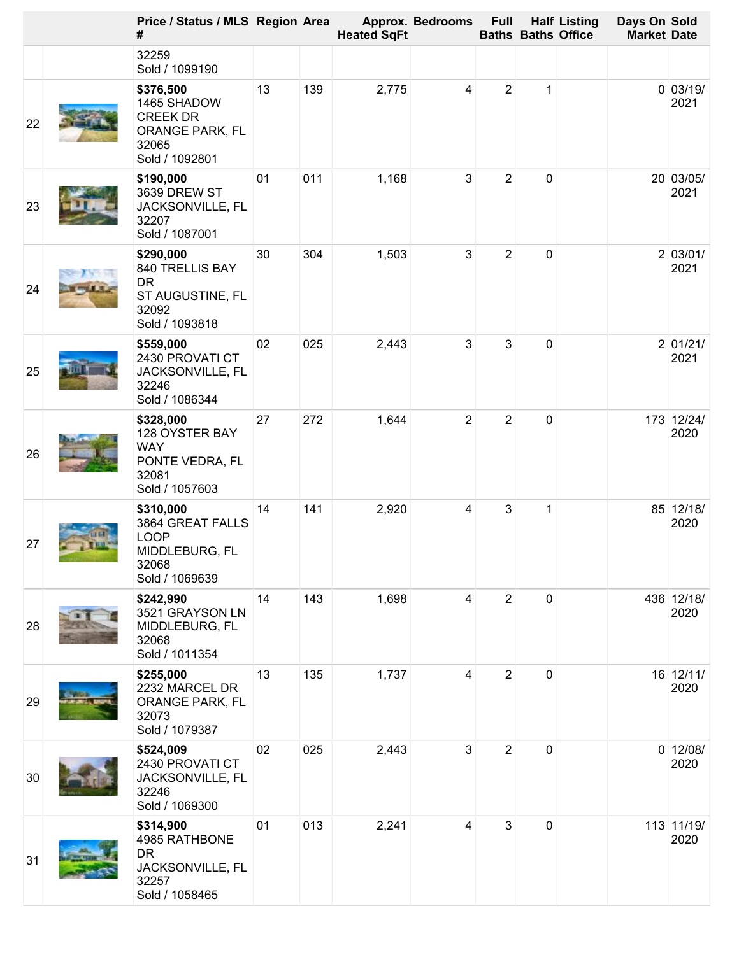|    | Price / Status / MLS Region Area<br>#                                                     |    |     | <b>Heated SqFt</b> | <b>Approx. Bedrooms</b> | <b>Full</b>    |   | <b>Half Listing</b><br><b>Baths Baths Office</b> | Days On Sold<br><b>Market Date</b> |                    |
|----|-------------------------------------------------------------------------------------------|----|-----|--------------------|-------------------------|----------------|---|--------------------------------------------------|------------------------------------|--------------------|
|    | 32259<br>Sold / 1099190                                                                   |    |     |                    |                         |                |   |                                                  |                                    |                    |
| 22 | \$376,500<br>1465 SHADOW<br><b>CREEK DR</b><br>ORANGE PARK, FL<br>32065<br>Sold / 1092801 | 13 | 139 | 2,775              | 4                       | $\overline{2}$ | 1 |                                                  |                                    | 0 03/19/<br>2021   |
| 23 | \$190,000<br>3639 DREW ST<br>JACKSONVILLE, FL<br>32207<br>Sold / 1087001                  | 01 | 011 | 1,168              | 3                       | $\overline{2}$ | 0 |                                                  |                                    | 20 03/05/<br>2021  |
| 24 | \$290,000<br>840 TRELLIS BAY<br><b>DR</b><br>ST AUGUSTINE, FL<br>32092<br>Sold / 1093818  | 30 | 304 | 1,503              | 3                       | $\overline{2}$ | 0 |                                                  |                                    | 2 03/01/<br>2021   |
| 25 | \$559,000<br>2430 PROVATI CT<br>JACKSONVILLE, FL<br>32246<br>Sold / 1086344               | 02 | 025 | 2,443              | $\mathfrak{S}$          | 3              | 0 |                                                  |                                    | 2 01/21/<br>2021   |
| 26 | \$328,000<br>128 OYSTER BAY<br><b>WAY</b><br>PONTE VEDRA, FL<br>32081<br>Sold / 1057603   | 27 | 272 | 1,644              | $\overline{2}$          | $\overline{2}$ | 0 |                                                  |                                    | 173 12/24/<br>2020 |
| 27 | \$310,000<br>3864 GREAT FALLS<br><b>LOOP</b><br>MIDDLEBURG, FL<br>32068<br>Sold / 1069639 | 14 | 141 | 2,920              | 4                       | 3              | 1 |                                                  |                                    | 85 12/18/<br>2020  |
| 28 | \$242,990<br>3521 GRAYSON LN<br>MIDDLEBURG, FL<br>32068<br>Sold / 1011354                 | 14 | 143 | 1,698              | 4                       | $\overline{2}$ | 0 |                                                  |                                    | 436 12/18/<br>2020 |
| 29 | \$255,000<br>2232 MARCEL DR<br>ORANGE PARK, FL<br>32073<br>Sold / 1079387                 | 13 | 135 | 1,737              | 4                       | $\overline{2}$ | 0 |                                                  |                                    | 16 12/11/<br>2020  |
| 30 | \$524,009<br>2430 PROVATI CT<br>JACKSONVILLE, FL<br>32246<br>Sold / 1069300               | 02 | 025 | 2,443              | 3                       | $\overline{2}$ | 0 |                                                  |                                    | $0$ 12/08/<br>2020 |
| 31 | \$314,900<br>4985 RATHBONE<br><b>DR</b><br>JACKSONVILLE, FL<br>32257<br>Sold / 1058465    | 01 | 013 | 2,241              | 4                       | $\mathfrak{S}$ | 0 |                                                  |                                    | 113 11/19/<br>2020 |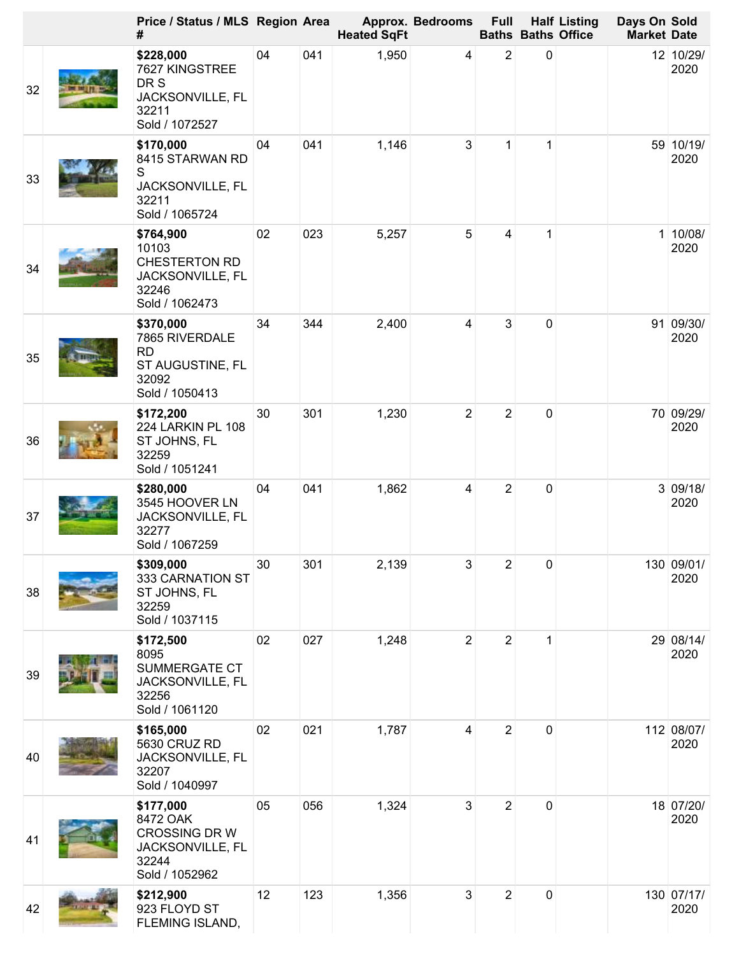|    | Price / Status / MLS Region Area<br>#                                                     |    |     | <b>Heated SqFt</b> | <b>Approx. Bedrooms</b> | <b>Full</b>    | <b>Baths Baths Office</b> | <b>Half Listing</b> | Days On Sold<br><b>Market Date</b> |                    |
|----|-------------------------------------------------------------------------------------------|----|-----|--------------------|-------------------------|----------------|---------------------------|---------------------|------------------------------------|--------------------|
| 32 | \$228,000<br>7627 KINGSTREE<br>DR S<br>JACKSONVILLE, FL<br>32211<br>Sold / 1072527        | 04 | 041 | 1,950              | 4                       | $\overline{2}$ | 0                         |                     |                                    | 12 10/29/<br>2020  |
| 33 | \$170,000<br>8415 STARWAN RD<br>S<br>JACKSONVILLE, FL<br>32211<br>Sold / 1065724          | 04 | 041 | 1,146              | 3                       | 1              | $\mathbf{1}$              |                     |                                    | 59 10/19/<br>2020  |
| 34 | \$764,900<br>10103<br><b>CHESTERTON RD</b><br>JACKSONVILLE, FL<br>32246<br>Sold / 1062473 | 02 | 023 | 5,257              | 5                       | 4              | 1                         |                     |                                    | 1 10/08/<br>2020   |
| 35 | \$370,000<br>7865 RIVERDALE<br><b>RD</b><br>ST AUGUSTINE, FL<br>32092<br>Sold / 1050413   | 34 | 344 | 2,400              | 4                       | 3              | $\mathbf 0$               |                     |                                    | 91 09/30/<br>2020  |
| 36 | \$172,200<br>224 LARKIN PL 108<br>ST JOHNS, FL<br>32259<br>Sold / 1051241                 | 30 | 301 | 1,230              | $\overline{2}$          | $\overline{2}$ | $\mathbf 0$               |                     |                                    | 70 09/29/<br>2020  |
| 37 | \$280,000<br>3545 HOOVER LN<br>JACKSONVILLE, FL<br>32277<br>Sold / 1067259                | 04 | 041 | 1,862              | 4                       | $\overline{2}$ | $\mathbf 0$               |                     |                                    | 3 09/18/<br>2020   |
| 38 | \$309,000<br>333 CARNATION ST<br>ST JOHNS, FL<br>32259<br>Sold / 1037115                  | 30 | 301 | 2,139              | 3                       | $\overline{2}$ | $\pmb{0}$                 |                     |                                    | 130 09/01/<br>2020 |
| 39 | \$172,500<br>8095<br>SUMMERGATE CT<br>JACKSONVILLE, FL<br>32256<br>Sold / 1061120         | 02 | 027 | 1,248              | $\overline{2}$          | $\overline{2}$ | 1                         |                     |                                    | 29 08/14/<br>2020  |
| 40 | \$165,000<br>5630 CRUZ RD<br>JACKSONVILLE, FL<br>32207<br>Sold / 1040997                  | 02 | 021 | 1,787              | 4                       | $\overline{2}$ | $\mathbf 0$               |                     |                                    | 112 08/07/<br>2020 |
| 41 | \$177,000<br>8472 OAK<br>CROSSING DR W<br>JACKSONVILLE, FL<br>32244<br>Sold / 1052962     | 05 | 056 | 1,324              | 3                       | $\overline{2}$ | $\mathbf 0$               |                     |                                    | 18 07/20/<br>2020  |
| 42 | \$212,900<br>923 FLOYD ST<br>FLEMING ISLAND,                                              | 12 | 123 | 1,356              | 3                       | $\overline{2}$ | $\mathbf 0$               |                     |                                    | 130 07/17/<br>2020 |